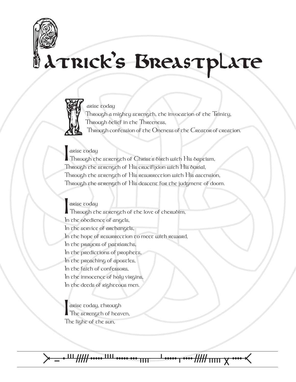## Patrick's Breastplate



 Through a mighty strength, the invocation of the Trinity, Through belief in the Threeness,

Through confession of the Oneness of the Creator of creation.

||arise <del>c</del>oday<br>||Through the strength of Christ's birth with His baptism, Through the strength of His crucifixion with His burial, Through the strength of His resurrection with His ascension, Through the strength of His descent for the judgment of doom.

**I** arise today<br>Through the strength of the love of cheruoim, In the obedience of angels, In the service of archangels, In the hope of resurrection to meet with reward, In the prayers of patriarchs, In the predictions of prophets, In the preaching of apostles, In the faith of confessors, In the innocence of holy virgins, In the deeds of righteous men.

arise coday, chrough The scrength of heaven, The light of the sun,

᚛ᚚᚐᚈᚏᚔᚉᚔᚒᚄ ᚆᚔᚁᚓᚏᚅᚘᚓ᚜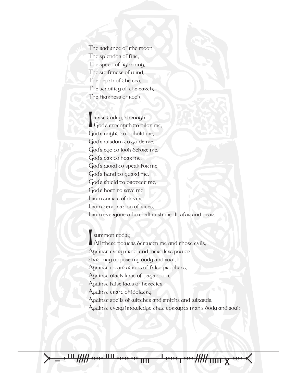The radiance of the moon, The splendor of fire, The speed of lightning, The swiftness of wind, The depch of che sea, The stability of the earth, The firmness of rock.

arise <del>coday, chrough</del><br>God's screngch co piloc me, God's might to uphold me, God's wisdom to guide me, God's eye to look before me, God's ear to hear me, God's word to speak for me, God's hand to guard me, God's shield to protect me, God's host to save me From snares of devils, From cempcacion of vices, From everyone who shall wish me ill, afar and near.

I summon today All these powers between me and those evils,  $\Lambda$ gains $\tau$  every cruel and merciless power that may oppose my body and soul,  $\Lambda$ gainst incantations of false prophets, Against black laws of pagandom,  $\Lambda$ gainst false laws of heretics, Against craft of idolatry,  $\Lambda$ gainst spells of witches and smiths and wizards, Against every knowledge that corrupts man's body and soul;